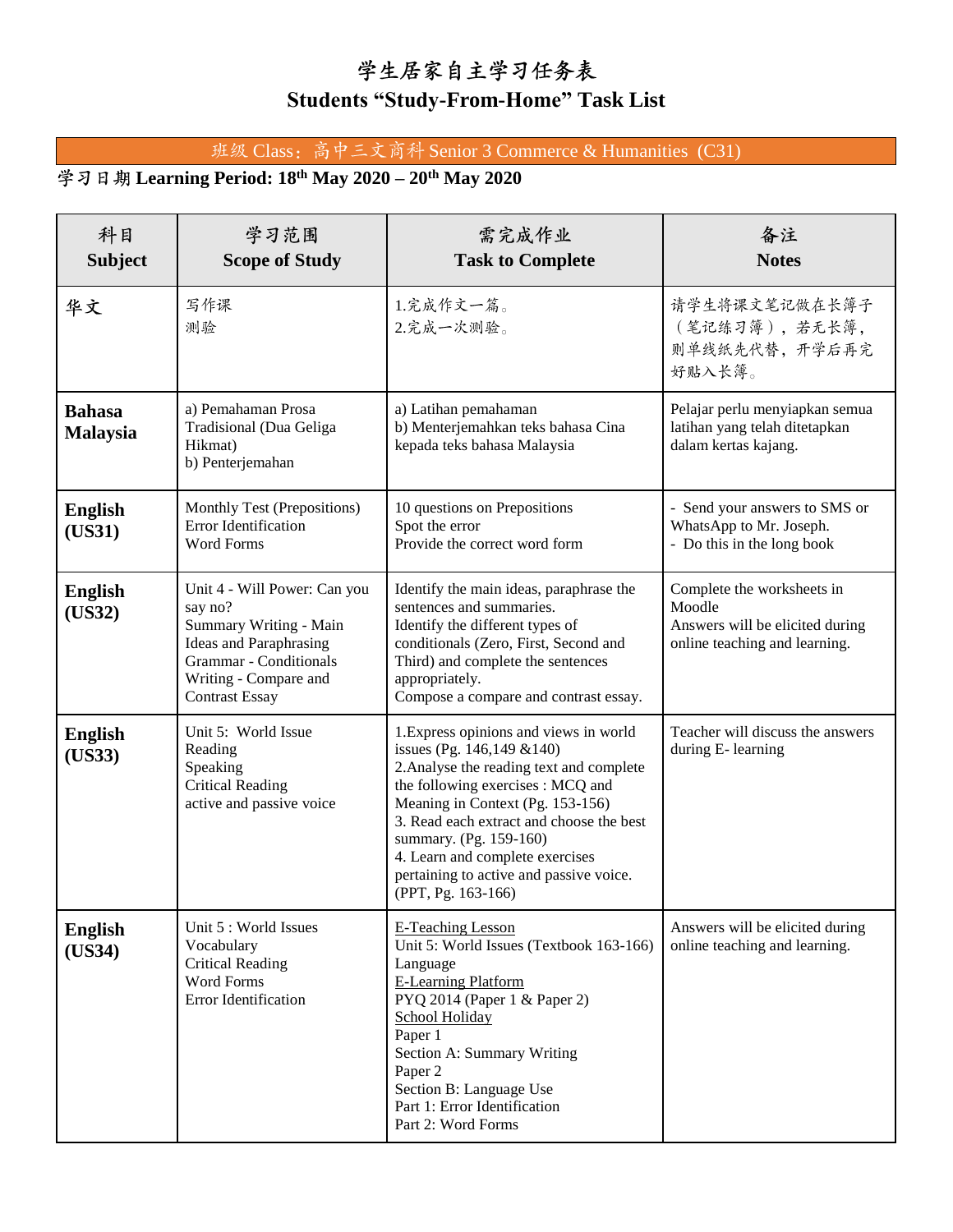## 学生居家自主学习任务表 **Students "Study-From-Home" Task List**

## 班级 Class: 高中三文商科 Senior 3 Commerce & Humanities (C31)

## **Learning Period: 18th May 2020 – 20th May 2020**

| 科目<br><b>Subject</b>             | 学习范围<br><b>Scope of Study</b>                                                                                                                                                         | 需完成作业<br><b>Task to Complete</b>                                                                                                                                                                                                                                                                                                                                    | 备注<br><b>Notes</b>                                                                                       |
|----------------------------------|---------------------------------------------------------------------------------------------------------------------------------------------------------------------------------------|---------------------------------------------------------------------------------------------------------------------------------------------------------------------------------------------------------------------------------------------------------------------------------------------------------------------------------------------------------------------|----------------------------------------------------------------------------------------------------------|
| 华文                               | 写作课<br>测验                                                                                                                                                                             | 1.完成作文一篇。<br>2.完成一次测验。                                                                                                                                                                                                                                                                                                                                              | 请学生将课文笔记做在长簿子<br>(笔记练习簿),若无长簿,<br>则单线纸先代替,开学后再完<br>好贴入长簿。                                                |
| <b>Bahasa</b><br><b>Malaysia</b> | a) Pemahaman Prosa<br>Tradisional (Dua Geliga<br>Hikmat)<br>b) Penterjemahan                                                                                                          | a) Latihan pemahaman<br>b) Menterjemahkan teks bahasa Cina<br>kepada teks bahasa Malaysia                                                                                                                                                                                                                                                                           | Pelajar perlu menyiapkan semua<br>latihan yang telah ditetapkan<br>dalam kertas kajang.                  |
| <b>English</b><br>(US31)         | Monthly Test (Prepositions)<br>Error Identification<br><b>Word Forms</b>                                                                                                              | 10 questions on Prepositions<br>Spot the error<br>Provide the correct word form                                                                                                                                                                                                                                                                                     | - Send your answers to SMS or<br>WhatsApp to Mr. Joseph.<br>- Do this in the long book                   |
| <b>English</b><br>(US32)         | Unit 4 - Will Power: Can you<br>say no?<br>Summary Writing - Main<br><b>Ideas and Paraphrasing</b><br><b>Grammar</b> - Conditionals<br>Writing - Compare and<br><b>Contrast Essay</b> | Identify the main ideas, paraphrase the<br>sentences and summaries.<br>Identify the different types of<br>conditionals (Zero, First, Second and<br>Third) and complete the sentences<br>appropriately.<br>Compose a compare and contrast essay.                                                                                                                     | Complete the worksheets in<br>Moodle<br>Answers will be elicited during<br>online teaching and learning. |
| <b>English</b><br>(US33)         | Unit 5: World Issue<br>Reading<br>Speaking<br><b>Critical Reading</b><br>active and passive voice                                                                                     | 1. Express opinions and views in world<br>issues (Pg. 146,149 & 140)<br>2. Analyse the reading text and complete<br>the following exercises : MCQ and<br>Meaning in Context (Pg. 153-156)<br>3. Read each extract and choose the best<br>summary. (Pg. 159-160)<br>4. Learn and complete exercises<br>pertaining to active and passive voice.<br>(PPT, Pg. 163-166) | Teacher will discuss the answers<br>during E- learning                                                   |
| <b>English</b><br>(US34)         | Unit 5 : World Issues<br>Vocabulary<br><b>Critical Reading</b><br>Word Forms<br>Error Identification                                                                                  | <b>E-Teaching Lesson</b><br>Unit 5: World Issues (Textbook 163-166)<br>Language<br><b>E-Learning Platform</b><br>PYQ 2014 (Paper 1 & Paper 2)<br>School Holiday<br>Paper 1<br>Section A: Summary Writing<br>Paper 2<br>Section B: Language Use<br>Part 1: Error Identification<br>Part 2: Word Forms                                                                | Answers will be elicited during<br>online teaching and learning.                                         |